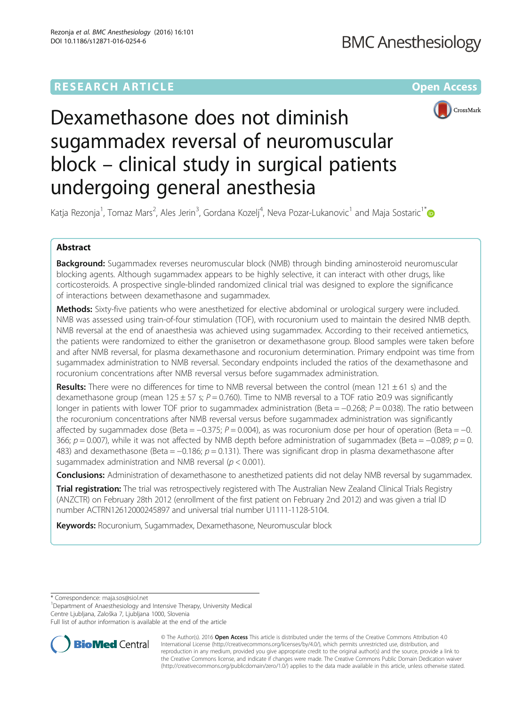# **RESEARCH ARTICLE Example 2014 12:30 The Contract of Contract ACCESS**



# Dexamethasone does not diminish sugammadex reversal of neuromuscular block – clinical study in surgical patients undergoing general anesthesia

Katja Rezonja<sup>1</sup>, Tomaz Mars<sup>2</sup>, Ales Jerin<sup>3</sup>, Gordana Kozelj<sup>4</sup>, Neva Pozar-Lukanovic<sup>1</sup> and Maja Sostaric<sup>1[\\*](http://orcid.org/0000-0002-7114-8155)</sup>

# Abstract

Background: Sugammadex reverses neuromuscular block (NMB) through binding aminosteroid neuromuscular blocking agents. Although sugammadex appears to be highly selective, it can interact with other drugs, like corticosteroids. A prospective single-blinded randomized clinical trial was designed to explore the significance of interactions between dexamethasone and sugammadex.

Methods: Sixty-five patients who were anesthetized for elective abdominal or urological surgery were included. NMB was assessed using train-of-four stimulation (TOF), with rocuronium used to maintain the desired NMB depth. NMB reversal at the end of anaesthesia was achieved using sugammadex. According to their received antiemetics, the patients were randomized to either the granisetron or dexamethasone group. Blood samples were taken before and after NMB reversal, for plasma dexamethasone and rocuronium determination. Primary endpoint was time from sugammadex administration to NMB reversal. Secondary endpoints included the ratios of the dexamethasone and rocuronium concentrations after NMB reversal versus before sugammadex administration.

**Results:** There were no differences for time to NMB reversal between the control (mean 121  $\pm$  61 s) and the dexamethasone group (mean 125 ± 57 s;  $P = 0.760$ ). Time to NMB reversal to a TOF ratio  $\geq 0.9$  was significantly longer in patients with lower TOF prior to sugammadex administration (Beta = −0.268; P = 0.038). The ratio between the rocuronium concentrations after NMB reversal versus before sugammadex administration was significantly affected by sugammadex dose (Beta =  $-0.375$ ;  $P = 0.004$ ), as was rocuronium dose per hour of operation (Beta =  $-0$ . 366;  $p = 0.007$ ), while it was not affected by NMB depth before administration of sugammadex (Beta = −0.089;  $p = 0$ . 483) and dexamethasone (Beta =  $-0.186$ ;  $p = 0.131$ ). There was significant drop in plasma dexamethasone after sugammadex administration and NMB reversal ( $p < 0.001$ ).

**Conclusions:** Administration of dexamethasone to anesthetized patients did not delay NMB reversal by sugammadex.

Trial registration: The trial was retrospectively registered with The Australian New Zealand Clinical Trials Registry (ANZCTR) on February 28th 2012 (enrollment of the first patient on February 2nd 2012) and was given a trial ID number [ACTRN12612000245897](https://www.anzctr.org.au/Trial/Registration/TrialReview.aspx?id=362158) and universal trial number U1111-1128-5104.

Keywords: Rocuronium, Sugammadex, Dexamethasone, Neuromuscular block

\* Correspondence: [maja.sos@siol.net](mailto:maja.sos@siol.net) <sup>1</sup>

<sup>1</sup>Department of Anaesthesiology and Intensive Therapy, University Medical Centre Ljubljana, Zaloška 7, Ljubljana 1000, Slovenia

Full list of author information is available at the end of the article



© The Author(s). 2016 Open Access This article is distributed under the terms of the Creative Commons Attribution 4.0 International License [\(http://creativecommons.org/licenses/by/4.0/](http://creativecommons.org/licenses/by/4.0/)), which permits unrestricted use, distribution, and reproduction in any medium, provided you give appropriate credit to the original author(s) and the source, provide a link to the Creative Commons license, and indicate if changes were made. The Creative Commons Public Domain Dedication waiver [\(http://creativecommons.org/publicdomain/zero/1.0/](http://creativecommons.org/publicdomain/zero/1.0/)) applies to the data made available in this article, unless otherwise stated.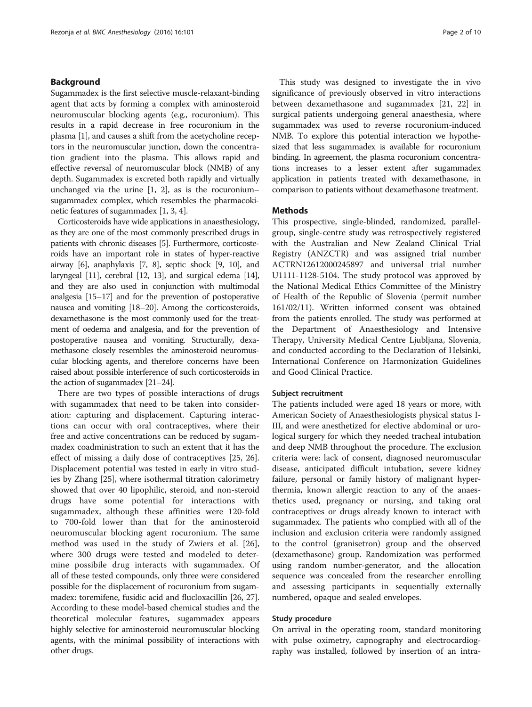# Background

Sugammadex is the first selective muscle-relaxant-binding agent that acts by forming a complex with aminosteroid neuromuscular blocking agents (e.g., rocuronium). This results in a rapid decrease in free rocuronium in the plasma [[1](#page-7-0)], and causes a shift from the acetycholine receptors in the neuromuscular junction, down the concentration gradient into the plasma. This allows rapid and effective reversal of neuromuscular block (NMB) of any depth. Sugammadex is excreted both rapidly and virtually unchanged via the urine [\[1](#page-7-0), [2\]](#page-7-0), as is the rocuronium– sugammadex complex, which resembles the pharmacokinetic features of sugammadex [\[1](#page-7-0), [3, 4](#page-7-0)].

Corticosteroids have wide applications in anaesthesiology, as they are one of the most commonly prescribed drugs in patients with chronic diseases [\[5\]](#page-8-0). Furthermore, corticosteroids have an important role in states of hyper-reactive airway [\[6\]](#page-8-0), anaphylaxis [[7](#page-8-0), [8](#page-8-0)], septic shock [\[9, 10\]](#page-8-0), and laryngeal [[11](#page-8-0)], cerebral [\[12](#page-8-0), [13\]](#page-8-0), and surgical edema [\[14](#page-8-0)], and they are also used in conjunction with multimodal analgesia [[15](#page-8-0)–[17](#page-8-0)] and for the prevention of postoperative nausea and vomiting [\[18](#page-8-0)–[20](#page-8-0)]. Among the corticosteroids, dexamethasone is the most commonly used for the treatment of oedema and analgesia, and for the prevention of postoperative nausea and vomiting. Structurally, dexamethasone closely resembles the aminosteroid neuromuscular blocking agents, and therefore concerns have been raised about possible interference of such corticosteroids in the action of sugammadex [[21](#page-8-0)–[24](#page-8-0)].

There are two types of possible interactions of drugs with sugammadex that need to be taken into consideration: capturing and displacement. Capturing interactions can occur with oral contraceptives, where their free and active concentrations can be reduced by sugammadex coadministration to such an extent that it has the effect of missing a daily dose of contraceptives [[25, 26](#page-8-0)]. Displacement potential was tested in early in vitro studies by Zhang [\[25](#page-8-0)], where isothermal titration calorimetry showed that over 40 lipophilic, steroid, and non-steroid drugs have some potential for interactions with sugammadex, although these affinities were 120-fold to 700-fold lower than that for the aminosteroid neuromuscular blocking agent rocuronium. The same method was used in the study of Zwiers et al. [\[26](#page-8-0)], where 300 drugs were tested and modeled to determine possibile drug interacts with sugammadex. Of all of these tested compounds, only three were considered possible for the displacement of rocuronium from sugammadex: toremifene, fusidic acid and flucloxacillin [[26](#page-8-0), [27](#page-8-0)]. According to these model-based chemical studies and the theoretical molecular features, sugammadex appears highly selective for aminosteroid neuromuscular blocking agents, with the minimal possibility of interactions with other drugs.

This study was designed to investigate the in vivo significance of previously observed in vitro interactions between dexamethasone and sugammadex [[21, 22](#page-8-0)] in surgical patients undergoing general anaesthesia, where sugammadex was used to reverse rocuronium-induced NMB. To explore this potential interaction we hypothesized that less sugammadex is available for rocuronium binding. In agreement, the plasma rocuronium concentrations increases to a lesser extent after sugammadex application in patients treated with dexamethasone, in comparison to patients without dexamethasone treatment.

# **Methods**

This prospective, single-blinded, randomized, parallelgroup, single-centre study was retrospectively registered with the Australian and New Zealand Clinical Trial Registry (ANZCTR) and was assigned trial number ACTRN12612000245897 and universal trial number U1111-1128-5104. The study protocol was approved by the National Medical Ethics Committee of the Ministry of Health of the Republic of Slovenia (permit number 161/02/11). Written informed consent was obtained from the patients enrolled. The study was performed at the Department of Anaesthesiology and Intensive Therapy, University Medical Centre Ljubljana, Slovenia, and conducted according to the Declaration of Helsinki, International Conference on Harmonization Guidelines and Good Clinical Practice.

#### Subject recruitment

The patients included were aged 18 years or more, with American Society of Anaesthesiologists physical status I-III, and were anesthetized for elective abdominal or urological surgery for which they needed tracheal intubation and deep NMB throughout the procedure. The exclusion criteria were: lack of consent, diagnosed neuromuscular disease, anticipated difficult intubation, severe kidney failure, personal or family history of malignant hyperthermia, known allergic reaction to any of the anaesthetics used, pregnancy or nursing, and taking oral contraceptives or drugs already known to interact with sugammadex. The patients who complied with all of the inclusion and exclusion criteria were randomly assigned to the control (granisetron) group and the observed (dexamethasone) group. Randomization was performed using random number-generator, and the allocation sequence was concealed from the researcher enrolling and assessing participants in sequentially externally numbered, opaque and sealed envelopes.

# Study procedure

On arrival in the operating room, standard monitoring with pulse oximetry, capnography and electrocardiography was installed, followed by insertion of an intra-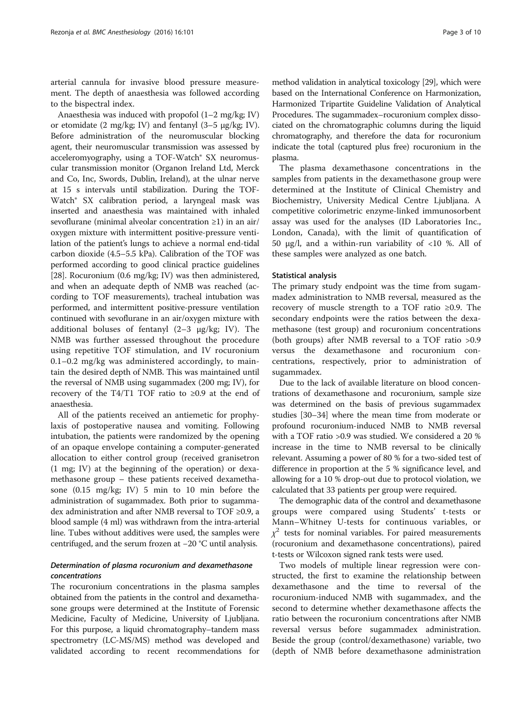arterial cannula for invasive blood pressure measurement. The depth of anaesthesia was followed according to the bispectral index.

Anaesthesia was induced with propofol (1–2 mg/kg; IV) or etomidate (2 mg/kg; IV) and fentanyl (3–5 μg/kg; IV). Before administration of the neuromuscular blocking agent, their neuromuscular transmission was assessed by acceleromyography, using a TOF-Watch<sup>®</sup> SX neuromuscular transmission monitor (Organon Ireland Ltd, Merck and Co, Inc, Swords, Dublin, Ireland), at the ulnar nerve at 15 s intervals until stabilization. During the TOF-Watch® SX calibration period, a laryngeal mask was inserted and anaesthesia was maintained with inhaled sevoflurane (minimal alveolar concentration ≥1) in an air/ oxygen mixture with intermittent positive-pressure ventilation of the patient's lungs to achieve a normal end-tidal carbon dioxide (4.5–5.5 kPa). Calibration of the TOF was performed according to good clinical practice guidelines [[28](#page-8-0)]. Rocuronium (0.6 mg/kg; IV) was then administered, and when an adequate depth of NMB was reached (according to TOF measurements), tracheal intubation was performed, and intermittent positive-pressure ventilation continued with sevoflurane in an air/oxygen mixture with additional boluses of fentanyl  $(2-3 \mu g/kg; IV)$ . The NMB was further assessed throughout the procedure using repetitive TOF stimulation, and IV rocuronium 0.1–0.2 mg/kg was administered accordingly, to maintain the desired depth of NMB. This was maintained until the reversal of NMB using sugammadex (200 mg; IV), for recovery of the T4/T1 TOF ratio to  $\geq 0.9$  at the end of anaesthesia.

All of the patients received an antiemetic for prophylaxis of postoperative nausea and vomiting. Following intubation, the patients were randomized by the opening of an opaque envelope containing a computer-generated allocation to either control group (received granisetron (1 mg; IV) at the beginning of the operation) or dexamethasone group – these patients received dexamethasone (0.15 mg/kg; IV) 5 min to 10 min before the administration of sugammadex. Both prior to sugammadex administration and after NMB reversal to TOF ≥0.9, a blood sample (4 ml) was withdrawn from the intra-arterial line. Tubes without additives were used, the samples were centrifuged, and the serum frozen at −20 °C until analysis.

# Determination of plasma rocuronium and dexamethasone concentrations

The rocuronium concentrations in the plasma samples obtained from the patients in the control and dexamethasone groups were determined at the Institute of Forensic Medicine, Faculty of Medicine, University of Ljubljana. For this purpose, a liquid chromatography–tandem mass spectrometry (LC-MS/MS) method was developed and validated according to recent recommendations for

method validation in analytical toxicology [[29](#page-8-0)], which were based on the International Conference on Harmonization, Harmonized Tripartite Guideline Validation of Analytical Procedures. The sugammadex–rocuronium complex dissociated on the chromatographic columns during the liquid chromatography, and therefore the data for rocuronium indicate the total (captured plus free) rocuronium in the plasma.

The plasma dexamethasone concentrations in the samples from patients in the dexamethasone group were determined at the Institute of Clinical Chemistry and Biochemistry, University Medical Centre Ljubljana. A competitive colorimetric enzyme-linked immunosorbent assay was used for the analyses (ID Laboratories Inc., London, Canada), with the limit of quantification of 50 μg/l, and a within-run variability of <10 %. All of these samples were analyzed as one batch.

#### Statistical analysis

The primary study endpoint was the time from sugammadex administration to NMB reversal, measured as the recovery of muscle strength to a TOF ratio ≥0.9. The secondary endpoints were the ratios between the dexamethasone (test group) and rocuronium concentrations (both groups) after NMB reversal to a TOF ratio >0.9 versus the dexamethasone and rocuronium concentrations, respectively, prior to administration of sugammadex.

Due to the lack of available literature on blood concentrations of dexamethasone and rocuronium, sample size was determined on the basis of previous sugammadex studies [\[30](#page-8-0)–[34\]](#page-8-0) where the mean time from moderate or profound rocuronium-induced NMB to NMB reversal with a TOF ratio >0.9 was studied. We considered a 20 % increase in the time to NMB reversal to be clinically relevant. Assuming a power of 80 % for a two-sided test of difference in proportion at the 5 % significance level, and allowing for a 10 % drop-out due to protocol violation, we calculated that 33 patients per group were required.

The demographic data of the control and dexamethasone groups were compared using Students' t-tests or Mann–Whitney U-tests for continuous variables, or  $\chi^2$  tests for nominal variables. For paired measurements (rocuronium and dexamethasone concentrations), paired t-tests or Wilcoxon signed rank tests were used.

Two models of multiple linear regression were constructed, the first to examine the relationship between dexamethasone and the time to reversal of the rocuronium-induced NMB with sugammadex, and the second to determine whether dexamethasone affects the ratio between the rocuronium concentrations after NMB reversal versus before sugammadex administration. Beside the group (control/dexamethasone) variable, two (depth of NMB before dexamethasone administration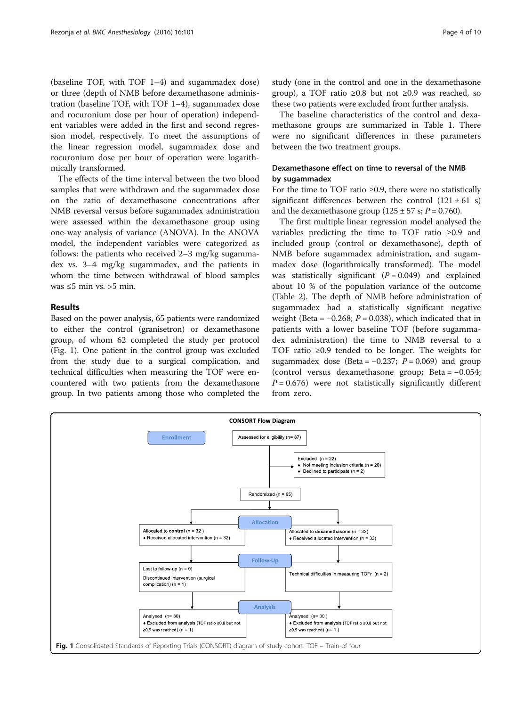(baseline TOF, with TOF 1–4) and sugammadex dose) or three (depth of NMB before dexamethasone administration (baseline TOF, with TOF 1–4), sugammadex dose and rocuronium dose per hour of operation) independent variables were added in the first and second regression model, respectively. To meet the assumptions of the linear regression model, sugammadex dose and rocuronium dose per hour of operation were logarithmically transformed.

The effects of the time interval between the two blood samples that were withdrawn and the sugammadex dose on the ratio of dexamethasone concentrations after NMB reversal versus before sugammadex administration were assessed within the dexamethasone group using one-way analysis of variance (ANOVA). In the ANOVA model, the independent variables were categorized as follows: the patients who received 2–3 mg/kg sugammadex vs. 3–4 mg/kg sugammadex, and the patients in whom the time between withdrawal of blood samples was  $\leq 5$  min vs.  $\geq 5$  min.

# Results

Based on the power analysis, 65 patients were randomized to either the control (granisetron) or dexamethasone group, of whom 62 completed the study per protocol (Fig. 1). One patient in the control group was excluded from the study due to a surgical complication, and technical difficulties when measuring the TOF were encountered with two patients from the dexamethasone group. In two patients among those who completed the study (one in the control and one in the dexamethasone group), a TOF ratio ≥0.8 but not ≥0.9 was reached, so these two patients were excluded from further analysis.

The baseline characteristics of the control and dexamethasone groups are summarized in Table [1.](#page-4-0) There were no significant differences in these parameters between the two treatment groups.

# Dexamethasone effect on time to reversal of the NMB by sugammadex

For the time to TOF ratio ≥0.9, there were no statistically significant differences between the control  $(121 \pm 61 \text{ s})$ and the dexamethasone group  $(125 \pm 57 \text{ s}; P = 0.760)$ .

The first multiple linear regression model analysed the variables predicting the time to TOF ratio ≥0.9 and included group (control or dexamethasone), depth of NMB before sugammadex administration, and sugammadex dose (logarithmically transformed). The model was statistically significant  $(P = 0.049)$  and explained about 10 % of the population variance of the outcome (Table [2](#page-4-0)). The depth of NMB before administration of sugammadex had a statistically significant negative weight (Beta =  $-0.268$ ;  $P = 0.038$ ), which indicated that in patients with a lower baseline TOF (before sugammadex administration) the time to NMB reversal to a TOF ratio ≥0.9 tended to be longer. The weights for sugammadex dose (Beta =  $-0.237$ ;  $P = 0.069$ ) and group (control versus dexamethasone group; Beta = −0.054;  $P = 0.676$ ) were not statistically significantly different from zero.

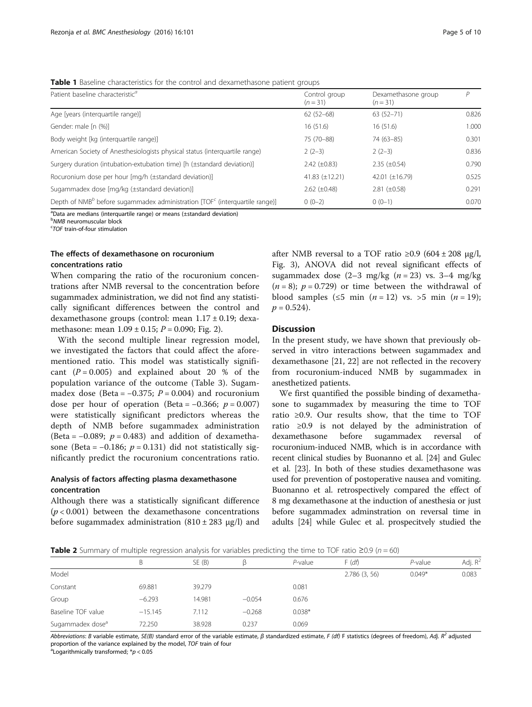<span id="page-4-0"></span>Table 1 Baseline characteristics for the control and dexamethasone patient groups

| Patient baseline characteristic <sup>a</sup>                                                     | Control group<br>$(n=31)$ | Dexamethasone group<br>$(n=31)$ | P     |  |
|--------------------------------------------------------------------------------------------------|---------------------------|---------------------------------|-------|--|
| Age [years (interquartile range)]                                                                | $62(52-68)$               | $63(52 - 71)$                   | 0.826 |  |
| Gender: male [n (%)]                                                                             | 16(51.6)                  | 16(51.6)                        | 1.000 |  |
| Body weight [kg (interquartile range)]                                                           | 75 (70-88)                | $74(63 - 85)$                   | 0.301 |  |
| American Society of Anesthesiologists physical status (interquartile range)                      | $2(2-3)$                  | $2(2-3)$                        | 0.836 |  |
| Surgery duration (intubation-extubation time) [h (±standard deviation)]                          | $2.42 \ (\pm 0.83)$       | $2.35 \ (\pm 0.54)$             | 0.790 |  |
| Rocuronium dose per hour [mq/h (±standard deviation)]                                            | 41.83 $(\pm 12.21)$       | 42.01 (±16.79)                  | 0.525 |  |
| Sugammadex dose [mg/kg (±standard deviation)]                                                    | $2.62 \ (\pm 0.48)$       | $2.81 (\pm 0.58)$               | 0.291 |  |
| Depth of NMB <sup>b</sup> before sugammadex administration $\text{TOF}^c$ (interguartile range)] | $0(0-2)$                  | $0(0-1)$                        | 0.070 |  |

<sup>a</sup>Data are medians (interquartile range) or means (±standard deviation)

**b**<br>MMB neuromuscular block<br><sup>C</sup>TOE train-of-four stimulatie

TOF train-of-four stimulation

# The effects of dexamethasone on rocuronium concentrations ratio

When comparing the ratio of the rocuronium concentrations after NMB reversal to the concentration before sugammadex administration, we did not find any statistically significant differences between the control and dexamethasone groups (control: mean 1.17 ± 0.19; dexamethasone: mean  $1.09 \pm 0.15$ ;  $P = 0.090$ ; Fig. [2](#page-5-0)).

With the second multiple linear regression model, we investigated the factors that could affect the aforementioned ratio. This model was statistically significant  $(P = 0.005)$  and explained about 20 % of the population variance of the outcome (Table [3](#page-5-0)). Sugammadex dose (Beta =  $-0.375$ ;  $P = 0.004$ ) and rocuronium dose per hour of operation (Beta =  $-0.366$ ;  $p = 0.007$ ) were statistically significant predictors whereas the depth of NMB before sugammadex administration (Beta =  $-0.089$ ;  $p = 0.483$ ) and addition of dexamethasone (Beta =  $-0.186$ ;  $p = 0.131$ ) did not statistically significantly predict the rocuronium concentrations ratio.

# Analysis of factors affecting plasma dexamethasone concentration

Although there was a statistically significant difference  $(p < 0.001)$  between the dexamethasone concentrations before sugammadex administration  $(810 \pm 283 \text{ µg/l})$  and

after NMB reversal to a TOF ratio  $\geq 0.9$  (604 ± 208 µg/l, Fig. [3](#page-6-0)), ANOVA did not reveal significant effects of sugammadex dose  $(2-3 \text{ mg/kg } (n = 23) \text{ vs. } 3-4 \text{ mg/kg})$  $(n = 8)$ ;  $p = 0.729$  or time between the withdrawal of blood samples (≤5 min  $(n = 12)$  vs. >5 min  $(n = 19)$ ;  $p = 0.524$ .

# Discussion

In the present study, we have shown that previously observed in vitro interactions between sugammadex and dexamethasone [\[21](#page-8-0), [22](#page-8-0)] are not reflected in the recovery from rocuronium-induced NMB by sugammadex in anesthetized patients.

We first quantified the possible binding of dexamethasone to sugammadex by measuring the time to TOF ratio ≥0.9. Our results show, that the time to TOF ratio ≥0.9 is not delayed by the administration of dexamethasone before sugammadex reversal of rocuronium-induced NMB, which is in accordance with recent clinical studies by Buonanno et al. [\[24\]](#page-8-0) and Gulec et al. [[23\]](#page-8-0). In both of these studies dexamethasone was used for prevention of postoperative nausea and vomiting. Buonanno et al. retrospectively compared the effect of 8 mg dexamethasone at the induction of anesthesia or just before sugammadex adminstration on reversal time in adults [[24](#page-8-0)] while Gulec et al. prospecitvely studied the

**Table 2** Summary of multiple regression analysis for variables predicting the time to TOF ratio ≥0.9 ( $n = 60$ )

|                              | B         | SE(B)  |          | P-value  | F(df)        | $P$ -value | Adj. $R^2$ |
|------------------------------|-----------|--------|----------|----------|--------------|------------|------------|
| Model                        |           |        |          |          | 2.786(3, 56) | $0.049*$   | 0.083      |
| Constant                     | 69.881    | 39.279 |          | 0.081    |              |            |            |
| Group                        | $-6.293$  | 14.981 | $-0.054$ | 0.676    |              |            |            |
| Baseline TOF value           | $-15.145$ | 7.112  | $-0.268$ | $0.038*$ |              |            |            |
| Sugammadex dose <sup>a</sup> | 72.250    | 38.928 | 0.237    | 0.069    |              |            |            |

Abbreviations: B variable estimate, SE(B) standard error of the variable estimate,  $\beta$  standardized estimate, F (df) F statistics (degrees of freedom), Adj. R<sup>2</sup> adjusted proportion of the variance explained by the model. TOF train of four

<sup>a</sup> Logarithmically transformed;  $* p < 0.05$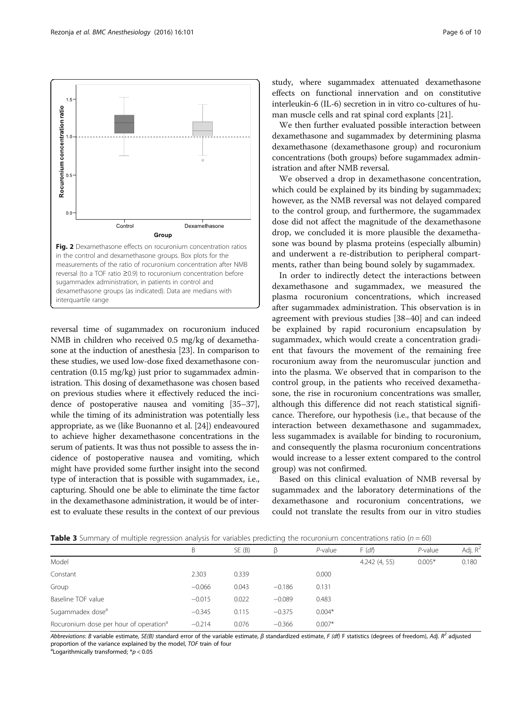<span id="page-5-0"></span>

reversal time of sugammadex on rocuronium induced NMB in children who received 0.5 mg/kg of dexamethasone at the induction of anesthesia [\[23\]](#page-8-0). In comparison to these studies, we used low-dose fixed dexamethasone concentration (0.15 mg/kg) just prior to sugammadex administration. This dosing of dexamethasone was chosen based on previous studies where it effectively reduced the incidence of postoperative nausea and vomiting [\[35](#page-8-0)–[37](#page-8-0)], while the timing of its administration was potentially less appropriate, as we (like Buonanno et al. [\[24\]](#page-8-0)) endeavoured to achieve higher dexamethasone concentrations in the serum of patients. It was thus not possible to assess the incidence of postoperative nausea and vomiting, which might have provided some further insight into the second type of interaction that is possible with sugammadex, i.e., capturing. Should one be able to eliminate the time factor in the dexamethasone administration, it would be of interest to evaluate these results in the context of our previous study, where sugammadex attenuated dexamethasone effects on functional innervation and on constitutive interleukin-6 (IL-6) secretion in in vitro co-cultures of human muscle cells and rat spinal cord explants [[21](#page-8-0)].

We then further evaluated possible interaction between dexamethasone and sugammadex by determining plasma dexamethasone (dexamethasone group) and rocuronium concentrations (both groups) before sugammadex administration and after NMB reversal.

We observed a drop in dexamethasone concentration, which could be explained by its binding by sugammadex; however, as the NMB reversal was not delayed compared to the control group, and furthermore, the sugammadex dose did not affect the magnitude of the dexamethasone drop, we concluded it is more plausible the dexamethasone was bound by plasma proteins (especially albumin) and underwent a re-distribution to peripheral compartments, rather than being bound solely by sugammadex.

In order to indirectly detect the interactions between dexamethasone and sugammadex, we measured the plasma rocuronium concentrations, which increased after sugammadex administration. This observation is in agreement with previous studies [[38](#page-8-0)–[40\]](#page-8-0) and can indeed be explained by rapid rocuronium encapsulation by sugammadex, which would create a concentration gradient that favours the movement of the remaining free rocuronium away from the neuromuscular junction and into the plasma. We observed that in comparison to the control group, in the patients who received dexamethasone, the rise in rocuronium concentrations was smaller, although this difference did not reach statistical significance. Therefore, our hypothesis (i.e., that because of the interaction between dexamethasone and sugammadex, less sugammadex is available for binding to rocuronium, and consequently the plasma rocuronium concentrations would increase to a lesser extent compared to the control group) was not confirmed.

Based on this clinical evaluation of NMB reversal by sugammadex and the laboratory determinations of the dexamethasone and rocuronium concentrations, we could not translate the results from our in vitro studies

**Table 3** Summary of multiple regression analysis for variables predicting the rocuronium concentrations ratio ( $n = 60$ )

|                                                    | B        | SE (B) |          | $P$ -value | F(df)        | $P$ -value | Adj. $R^2$ |
|----------------------------------------------------|----------|--------|----------|------------|--------------|------------|------------|
| Model                                              |          |        |          |            | 4.242(4, 55) | $0.005*$   | 0.180      |
| Constant                                           | 2.303    | 0.339  |          | 0.000      |              |            |            |
| Group                                              | $-0.066$ | 0.043  | $-0.186$ | 0.131      |              |            |            |
| Baseline TOF value                                 | $-0.015$ | 0.022  | $-0.089$ | 0.483      |              |            |            |
| Sugammadex dose <sup>a</sup>                       | $-0.345$ | 0.115  | $-0.375$ | $0.004*$   |              |            |            |
| Rocuronium dose per hour of operation <sup>a</sup> | $-0.214$ | 0.076  | $-0.366$ | $0.007*$   |              |            |            |

Abbreviations: B variable estimate, SE(B) standard error of the variable estimate,  $\beta$  standardized estimate, F (df) F statistics (degrees of freedom), Adj. R<sup>2</sup> adjusted proportion of the variance explained by the model, TOF train of four

<sup>a</sup> Logarithmically transformed;  $* p < 0.05$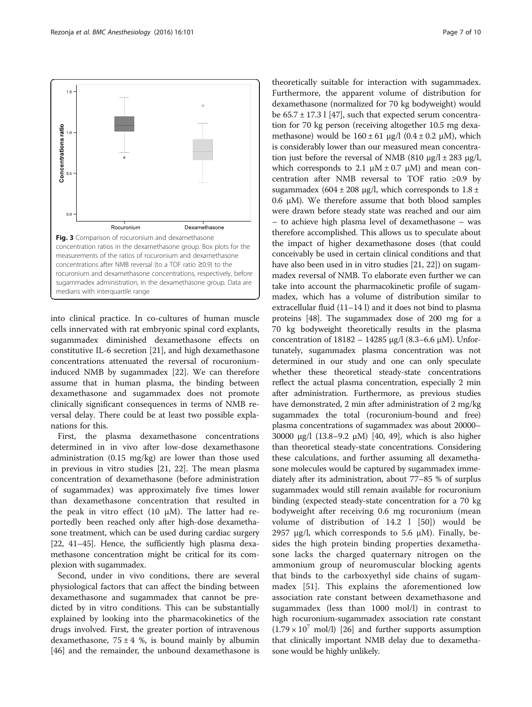<span id="page-6-0"></span>

into clinical practice. In co-cultures of human muscle cells innervated with rat embryonic spinal cord explants, sugammadex diminished dexamethasone effects on constitutive IL-6 secretion [[21](#page-8-0)], and high dexamethasone concentrations attenuated the reversal of rocuroniuminduced NMB by sugammadex [[22\]](#page-8-0). We can therefore assume that in human plasma, the binding between dexamethasone and sugammadex does not promote clinically significant consequences in terms of NMB reversal delay. There could be at least two possible explanations for this.

First, the plasma dexamethasone concentrations determined in in vivo after low-dose dexamethasone administration (0.15 mg/kg) are lower than those used in previous in vitro studies [\[21, 22](#page-8-0)]. The mean plasma concentration of dexamethasone (before administration of sugammadex) was approximately five times lower than dexamethasone concentration that resulted in the peak in vitro effect (10  $\mu$ M). The latter had reportedly been reached only after high-dose dexamethasone treatment, which can be used during cardiac surgery [[22](#page-8-0), [41](#page-8-0)–[45\]](#page-8-0). Hence, the sufficiently high plasma dexamethasone concentration might be critical for its complexion with sugammadex.

Second, under in vivo conditions, there are several physiological factors that can affect the binding between dexamethasone and sugammadex that cannot be predicted by in vitro conditions. This can be substantially explained by looking into the pharmacokinetics of the drugs involved. First, the greater portion of intravenous dexamethasone,  $75 \pm 4$  %, is bound mainly by albumin [[46\]](#page-8-0) and the remainder, the unbound dexamethasone is

theoretically suitable for interaction with sugammadex. Furthermore, the apparent volume of distribution for dexamethasone (normalized for 70 kg bodyweight) would be  $65.7 \pm 17.3$  l [\[47\]](#page-8-0), such that expected serum concentration for 70 kg person (receiving altogether 10.5 mg dexamethasone) would be  $160 \pm 61 \mu g/l$  (0.4  $\pm$  0.2  $\mu$ M), which is considerably lower than our measured mean concentration just before the reversal of NMB (810 μg/l  $\pm$  283 μg/l, which corresponds to 2.1  $\mu$ M  $\pm$  0.7  $\mu$ M) and mean concentration after NMB reversal to TOF ratio ≥0.9 by sugammadex (604  $\pm$  208 μg/l, which corresponds to 1.8  $\pm$ 0.6 μM). We therefore assume that both blood samples were drawn before steady state was reached and our aim – to achieve high plasma level of dexamethasone – was therefore accomplished. This allows us to speculate about the impact of higher dexamethasone doses (that could conceivably be used in certain clinical conditions and that have also been used in in vitro studies [[21](#page-8-0), [22\]](#page-8-0)) on sugammadex reversal of NMB. To elaborate even further we can take into account the pharmacokinetic profile of sugammadex, which has a volume of distribution similar to extracellular fluid (11–14 l) and it does not bind to plasma proteins [[48](#page-9-0)]. The sugammadex dose of 200 mg for a 70 kg bodyweight theoretically results in the plasma concentration of 18182 – 14285 μg/l (8.3–6.6 μM). Unfortunately, sugammadex plasma concentration was not determined in our study and one can only speculate whether these theoretical steady-state concentrations reflect the actual plasma concentration, especially 2 min after administration. Furthermore, as previous studies have demonstrated, 2 min after administration of 2 mg/kg sugammadex the total (rocuronium-bound and free) plasma concentrations of sugammadex was about 20000– 30000 μg/l (13.8–9.2 μM) [\[40](#page-8-0), [49](#page-9-0)], which is also higher than theoretical steady-state concentrations. Considering these calculations, and further assuming all dexamethasone molecules would be captured by sugammadex immediately after its administration, about 77–85 % of surplus sugammadex would still remain available for rocuronium binding (expected steady-state concentration for a 70 kg bodyweight after receiving 0.6 mg rocuronium (mean volume of distribution of 14.2 l [[50](#page-9-0)]) would be 2957 μg/l, which corresponds to 5.6 μM). Finally, besides the high protein binding properties dexamethasone lacks the charged quaternary nitrogen on the ammonium group of neuromuscular blocking agents that binds to the carboxyethyl side chains of sugammadex [\[51](#page-9-0)]. This explains the aforementioned low association rate constant between dexamethasone and sugammadex (less than 1000 mol/l) in contrast to high rocuronium-sugammadex association rate constant  $(1.79 \times 10^{7} \text{ mol/l})$  [\[26\]](#page-8-0) and further supports assumption that clinically important NMB delay due to dexamethasone would be highly unlikely.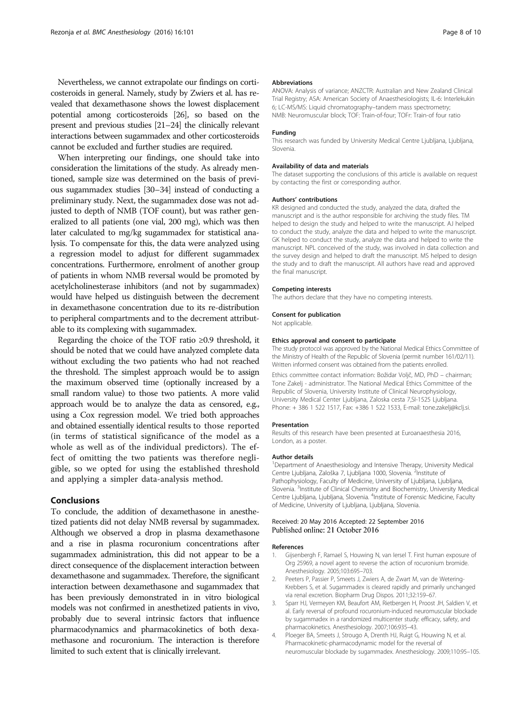<span id="page-7-0"></span>Nevertheless, we cannot extrapolate our findings on corticosteroids in general. Namely, study by Zwiers et al. has revealed that dexamethasone shows the lowest displacement potential among corticosteroids [\[26](#page-8-0)], so based on the present and previous studies [\[21](#page-8-0)–[24](#page-8-0)] the clinically relevant interactions between sugammadex and other corticosteroids cannot be excluded and further studies are required.

When interpreting our findings, one should take into consideration the limitations of the study. As already mentioned, sample size was determined on the basis of previous sugammadex studies [[30](#page-8-0)–[34\]](#page-8-0) instead of conducting a preliminary study. Next, the sugammadex dose was not adjusted to depth of NMB (TOF count), but was rather generalized to all patients (one vial, 200 mg), which was then later calculated to mg/kg sugammadex for statistical analysis. To compensate for this, the data were analyzed using a regression model to adjust for different sugammadex concentrations. Furthermore, enrolment of another group of patients in whom NMB reversal would be promoted by acetylcholinesterase inhibitors (and not by sugammadex) would have helped us distinguish between the decrement in dexamethasone concentration due to its re-distribution to peripheral compartments and to the decrement attributable to its complexing with sugammadex.

Regarding the choice of the TOF ratio  $\geq 0.9$  threshold, it should be noted that we could have analyzed complete data without excluding the two patients who had not reached the threshold. The simplest approach would be to assign the maximum observed time (optionally increased by a small random value) to those two patients. A more valid approach would be to analyze the data as censored, e.g., using a Cox regression model. We tried both approaches and obtained essentially identical results to those reported (in terms of statistical significance of the model as a whole as well as of the individual predictors). The effect of omitting the two patients was therefore negligible, so we opted for using the established threshold and applying a simpler data-analysis method.

### Conclusions

To conclude, the addition of dexamethasone in anesthetized patients did not delay NMB reversal by sugammadex. Although we observed a drop in plasma dexamethasone and a rise in plasma rocuronium concentrations after sugammadex administration, this did not appear to be a direct consequence of the displacement interaction between dexamethasone and sugammadex. Therefore, the significant interaction between dexamethasone and sugammadex that has been previously demonstrated in in vitro biological models was not confirmed in anesthetized patients in vivo, probably due to several intrinsic factors that influence pharmacodynamics and pharmacokinetics of both dexamethasone and rocuronium. The interaction is therefore limited to such extent that is clinically irrelevant.

#### Abbreviations

ANOVA: Analysis of variance; ANZCTR: Australian and New Zealand Clinical Trial Registry; ASA: American Society of Anaesthesiologists; IL-6: Interlekukin 6; LC-MS/MS: Liquid chromatography–tandem mass spectrometry; NMB: Neuromuscular block; TOF: Train-of-four; TOFr: Train-of four ratio

#### Funding

This research was funded by University Medical Centre Ljubljana, Ljubljana, Slovenia.

#### Availability of data and materials

The dataset supporting the conclusions of this article is available on request by contacting the first or corresponding author.

#### Authors' contributions

KR designed and conducted the study, analyzed the data, drafted the manuscript and is the author responsible for archiving the study files. TM helped to design the study and helped to write the manuscript. AJ helped to conduct the study, analyze the data and helped to write the manuscript. GK helped to conduct the study, analyze the data and helped to write the manuscript. NPL conceived of the study, was involved in data collection and the survey design and helped to draft the manuscript. MS helped to design the study and to draft the manuscript. All authors have read and approved the final manuscript.

#### Competing interests

The authors declare that they have no competing interests.

#### Consent for publication

Not applicable.

#### Ethics approval and consent to participate

The study protocol was approved by the National Medical Ethics Committee of the Ministry of Health of the Republic of Slovenia (permit number 161/02/11). Written informed consent was obtained from the patients enrolled.

Ethics committee contact information: Božidar Voljč, MD, PhD – chairman; Tone Zakelj - administrator. The National Medical Ethics Committee of the Republic of Slovenia, University Institute of Clinical Neurophysiology, University Medical Center Ljubljana, Zaloska cesta 7,SI-1525 Ljubljana. Phone: + 386 1 522 1517, Fax: +386 1 522 1533, E-mail: tone.zakelj@kclj.si.

#### Presentation

Results of this research have been presented at Euroanaesthesia 2016, London, as a poster.

#### Author details

<sup>1</sup>Department of Anaesthesiology and Intensive Therapy, University Medical Centre Ljubljana, Zaloška 7, Ljubljana 1000, Slovenia. <sup>2</sup>Institute of Pathophysiology, Faculty of Medicine, University of Ljubljana, Ljubljana, Slovenia. <sup>3</sup>Institute of Clinical Chemistry and Biochemistry, University Medical Centre Ljubljana, Ljubljana, Slovenia. <sup>4</sup>Institute of Forensic Medicine, Faculty of Medicine, University of Ljubljana, Ljubljana, Slovenia.

#### Received: 20 May 2016 Accepted: 22 September 2016 Published online: 21 October 2016

#### References

- 1. Gijsenbergh F, Ramael S, Houwing N, van Iersel T. First human exposure of Org 25969, a novel agent to reverse the action of rocuronium bromide. Anesthesiology. 2005;103:695–703.
- 2. Peeters P, Passier P, Smeets J, Zwiers A, de Zwart M, van de Wetering-Krebbers S, et al. Sugammadex is cleared rapidly and primarily unchanged via renal excretion. Biopharm Drug Dispos. 2011;32:159–67.
- 3. Sparr HJ, Vermeyen KM, Beaufort AM, Rietbergen H, Proost JH, Saldien V, et al. Early reversal of profound rocuronium-induced neuromuscular blockade by sugammadex in a randomized multicenter study: efficacy, safety, and pharmacokinetics. Anesthesiology. 2007;106:935–43.
- 4. Ploeger BA, Smeets J, Strougo A, Drenth HJ, Ruigt G, Houwing N, et al. Pharmacokinetic-pharmacodynamic model for the reversal of neuromuscular blockade by sugammadex. Anesthesiology. 2009;110:95–105.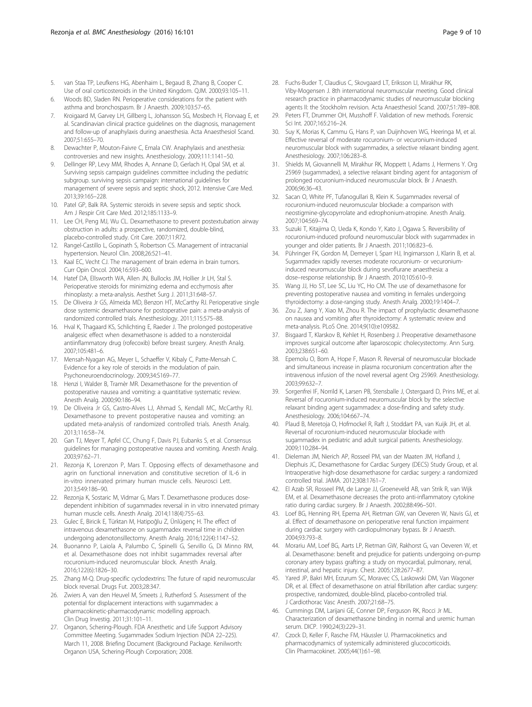- <span id="page-8-0"></span>5. van Staa TP, Leufkens HG, Abenhaim L, Begaud B, Zhang B, Cooper C. Use of oral corticosteroids in the United Kingdom. QJM. 2000;93:105–11.
- 6. Woods BD, Sladen RN. Perioperative considerations for the patient with asthma and bronchospasm. Br J Anaesth. 2009;103:57–65.
- 7. Kroigaard M, Garvey LH, Gillberg L, Johansson SG, Mosbech H, Florvaag E, et al. Scandinavian clinical practice guidelines on the diagnosis, management and follow-up of anaphylaxis during anaesthesia. Acta Anaesthesiol Scand. 2007;51:655–70.
- 8. Dewachter P, Mouton-Faivre C, Emala CW. Anaphylaxis and anesthesia: controversies and new insights. Anesthesiology. 2009;111:1141–50.
- Dellinger RP, Levy MM, Rhodes A, Annane D, Gerlach H, Opal SM, et al. Surviving sepsis campaign guidelines committee including the pediatric subgroup. surviving sepsis campaign: international guidelines for management of severe sepsis and septic shock, 2012. Intensive Care Med. 2013;39:165–228.
- 10. Patel GP, Balk RA. Systemic steroids in severe sepsis and septic shock. Am J Respir Crit Care Med. 2012;185:1133–9.
- 11. Lee CH, Peng MJ, Wu CL. Dexamethasone to prevent postextubation airway obstruction in adults: a prospective, randomized, double-blind, placebo-controlled study. Crit Care. 2007;11:R72.
- 12. Rangel-Castillo L, Gopinath S, Robertson CS. Management of intracranial hypertension. Neurol Clin. 2008;26:521–41.
- 13. Kaal EC, Vecht CJ. The management of brain edema in brain tumors. Curr Opin Oncol. 2004;16:593–600.
- 14. Hatef DA, Ellsworth WA, Allen JN, Bullocks JM, Hollier Jr LH, Stal S. Perioperative steroids for minimizing edema and ecchymosis after rhinoplasty: a meta-analysis. Aesthet Surg J. 2011;31:648–57.
- 15. De Oliveira Jr GS, Almeida MD, Benzon HT, McCarthy RJ. Perioperative single dose systemic dexamethasone for postoperative pain: a meta-analysis of randomized controlled trials. Anesthesiology. 2011;115:575–88.
- 16. Hval K, Thagaard KS, Schlichting E, Raeder J. The prolonged postoperative analgesic effect when dexamethasone is added to a nonsteroidal antiinflammatory drug (rofecoxib) before breast surgery. Anesth Analg. 2007;105:481–6.
- 17. Mensah-Nyagan AG, Meyer L, Schaeffer V, Kibaly C, Patte-Mensah C. Evidence for a key role of steroids in the modulation of pain. Psychoneuroendocrinology. 2009;34:S169–77.
- 18. Henzi I, Walder B, Tramèr MR. Dexamethasone for the prevention of postoperative nausea and vomiting: a quantitative systematic review. Anesth Analg. 2000;90:186–94.
- 19. De Oliveira Jr GS, Castro-Alves LJ, Ahmad S, Kendall MC, McCarthy RJ. Dexamethasone to prevent postoperative nausea and vomiting: an updated meta-analysis of randomized controlled trials. Anesth Analg. 2013;116:58–74.
- 20. Gan TJ, Meyer T, Apfel CC, Chung F, Davis PJ, Eubanks S, et al. Consensus guidelines for managing postoperative nausea and vomiting. Anesth Analg. 2003;97:62–71.
- 21. Rezonja K, Lorenzon P, Mars T. Opposing effects of dexamethasone and agrin on functional innervation and constitutive secretion of IL-6 in in-vitro innervated primary human muscle cells. Neurosci Lett. 2013;549:186–90.
- 22. Rezonja K, Sostaric M, Vidmar G, Mars T. Dexamethasone produces dosedependent inhibition of sugammadex reversal in in vitro innervated primary human muscle cells. Anesth Analg. 2014;118(4):755–63.
- 23. Gulec E, Biricik E, Türktan M, Hatipoğlu Z, Ünlügenç H. The effect of intravenous dexamethasone on sugammadex reversal time in children undergoing adenotonsillectomy. Anesth Analg. 2016;122(4):1147–52.
- 24. Buonanno P, Laiola A, Palumbo C, Spinelli G, Servillo G, Di Minno RM, et al. Dexamethasone does not inhibit sugammadex reversal after rocuronium-induced neuromuscular block. Anesth Analg. 2016;122(6):1826–30.
- 25. Zhang M-Q. Drug-specific cyclodextrins: The future of rapid neuromuscular block reversal. Drugs Fut. 2003;28:347.
- 26. Zwiers A, van den Heuvel M, Smeets J, Rutherford S. Assessment of the potential for displacement interactions with sugammadex: a pharmacokinetic-pharmacodynamic modelling approach. Clin Drug Investig. 2011;31:101–11.
- 27. Organon, Schering-Plough. FDA Anesthetic and Life Support Advisory Committee Meeting. Sugammadex Sodium Injection (NDA 22–225). March 11, 2008. Briefing Document (Background Package. Kenilworth: Organon USA, Schering-Plough Corporation; 2008.
- 28. Fuchs-Buder T, Claudius C, Skovgaard LT, Eriksson LI, Mirakhur RK, Viby-Mogensen J. 8th international neuromuscular meeting. Good clinical research practice in pharmacodynamic studies of neuromuscular blocking agents II: the Stockholm revision. Acta Anaesthesiol Scand. 2007;51:789–808.
- 29. Peters FT, Drummer OH, Musshoff F. Validation of new methods. Forensic Sci Int. 2007;165:216–24.
- 30. Suy K, Morias K, Cammu G, Hans P, van Duijnhoven WG, Heeringa M, et al. Effective reversal of moderate rocuronium- or vecuronium-induced neuromuscular block with sugammadex, a selective relaxant binding agent. Anesthesiology. 2007;106:283–8.
- 31. Shields M, Giovannelli M, Mirakhur RK, Moppett I, Adams J, Hermens Y. Org 25969 (sugammadex), a selective relaxant binding agent for antagonism of prolonged rocuronium-induced neuromuscular block. Br J Anaesth. 2006;96:36–43.
- 32. Sacan O, White PF, Tufanogullari B, Klein K. Sugammadex reversal of rocuronium-induced neuromuscular blockade: a comparison with neostigmine-glycopyrrolate and edrophonium-atropine. Anesth Analg. 2007;104:569–74.
- 33. Suzuki T, Kitajima O, Ueda K, Kondo Y, Kato J, Ogawa S. Reversibility of rocuronium-induced profound neuromuscular block with sugammadex in younger and older patients. Br J Anaesth. 2011;106:823–6.
- 34. Pühringer FK, Gordon M, Demeyer I, Sparr HJ, Ingimarsson J, Klarin B, et al. Sugammadex rapidly reverses moderate rocuronium- or vecuroniuminduced neuromuscular block during sevoflurane anaesthesia: a dose–response relationship. Br J Anaesth. 2010;105:610–9.
- 35. Wang JJ, Ho ST, Lee SC, Liu YC, Ho CM. The use of dexamethasone for preventing postoperative nausea and vomiting in females undergoing thyroidectomy: a dose-ranging study. Anesth Analg. 2000;19:1404–7.
- 36. Zou Z, Jiang Y, Xiao M, Zhou R. The impact of prophylactic dexamethasone on nausea and vomiting after thyroidectomy: A systematic review and meta-analysis. PLoS One. 2014;9(10):e109582.
- 37. Bisgaard T, Klarskov B, Kehlet H, Rosenberg J. Preoperative dexamethasone improves surgical outcome after laparoscopic cholecystectomy. Ann Surg. 2003;238:651–60.
- 38. Epemolu O, Bom A, Hope F, Mason R. Reversal of neuromuscular blockade and simultaneous increase in plasma rocuronium concentration after the intravenous infusion of the novel reversal agent Org 25969. Anesthesiology. 2003;99:632–7.
- 39. Sorgenfrei IF, Norrild K, Larsen PB, Stensballe J, Ostergaard D, Prins ME, et al. Reversal of rocuronium-induced neuromuscular block by the selective relaxant binding agent sugammadex: a dose-finding and safety study. Anesthesiology. 2006;104:667–74.
- 40. Plaud B, Meretoja O, Hofmockel R, Raft J, Stoddart PA, van Kuijk JH, et al. Reversal of rocuronium-induced neuromuscular blockade with sugammadex in pediatric and adult surgical patients. Anesthesiology. 2009;110:284–94.
- 41. Dieleman JM, Nierich AP, Rosseel PM, van der Maaten JM, Hofland J, Diephuis JC, Dexamethasone for Cardiac Surgery (DECS) Study Group, et al. Intraoperative high-dose dexamethasone for cardiac surgery: a randomized controlled trial. JAMA. 2012;308:1761–7.
- 42. El Azab SR, Rosseel PM, de Lange JJ, Groeneveld AB, van Strik R, van Wijk EM, et al. Dexamethasone decreases the proto anti-inflammatory cytokine ratio during cardiac surgery. Br J Anaesth. 2002;88:496–501.
- 43. Loef BG, Henning RH, Epema AH, Rietman GW, van Oeveren W, Navis GJ, et al. Effect of dexamethasone on perioperative renal function impairment during cardiac surgery with cardiopulmonary bypass. Br J Anaesth. 2004;93:793–8.
- 44. Morariu AM, Loef BG, Aarts LP, Rietman GW, Rakhorst G, van Oeveren W, et al. Dexamethasone: benefit and prejudice for patients undergoing on-pump coronary artery bypass grafting: a study on myocardial, pulmonary, renal, intestinal, and hepatic injury. Chest. 2005;128:2677–87.
- 45. Yared JP, Bakri MH, Erzurum SC, Moravec CS, Laskowski DM, Van Wagoner DR, et al. Effect of dexamethasone on atrial fibrillation after cardiac surgery: prospective, randomized, double-blind, placebo-controlled trial. J Cardiothorac Vasc Anesth. 2007;21:68–75.
- 46. Cummings DM, Larijani GE, Conner DP, Ferguson RK, Rocci Jr ML. Characterization of dexamethasone binding in normal and uremic human serum. DICP. 1990;24(3):229–31.
- 47. Czock D, Keller F, Rasche FM, Häussler U. Pharmacokinetics and pharmacodynamics of systemically administered glucocorticoids. Clin Pharmacokinet. 2005;44(1):61–98.